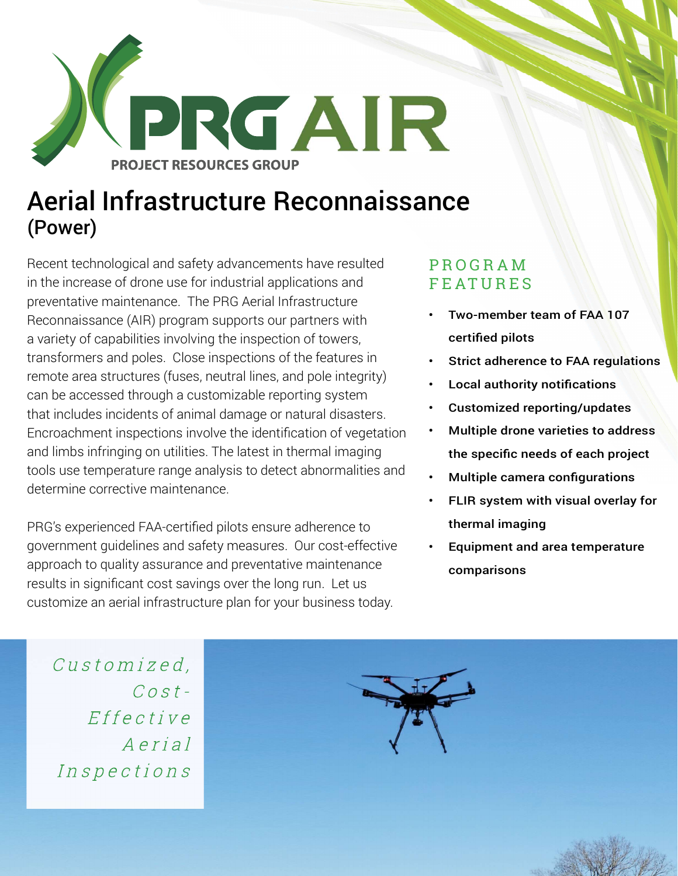

## Aerial Infrastructure Reconnaissance (Power)

Recent technological and safety advancements have resulted in the increase of drone use for industrial applications and preventative maintenance. The PRG Aerial Infrastructure Reconnaissance (AIR) program supports our partners with a variety of capabilities involving the inspection of towers, transformers and poles. Close inspections of the features in remote area structures (fuses, neutral lines, and pole integrity) can be accessed through a customizable reporting system that includes incidents of animal damage or natural disasters. Encroachment inspections involve the identification of vegetation and limbs infringing on utilities. The latest in thermal imaging tools use temperature range analysis to detect abnormalities and determine corrective maintenance.

PRG's experienced FAA-certified pilots ensure adherence to government guidelines and safety measures. Our cost-effective approach to quality assurance and preventative maintenance results in significant cost savings over the long run. Let us customize an aerial infrastructure plan for your business today.

#### P R O G R A M **FEATURES**

- Two-member team of FAA 107 certified pilots
- Strict adherence to FAA regulations
- **Local authority notifications**
- Customized reporting/updates
- Multiple drone varieties to address the specific needs of each project
- Multiple camera configurations
- FLIR system with visual overlay for thermal imaging
- Equipment and area temperature comparisons

Customized.  $Cost Effectective$ Aerial Inspections